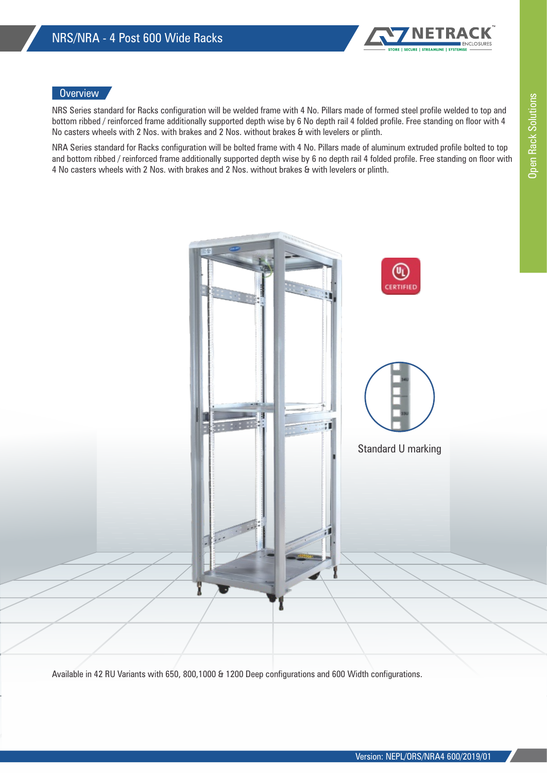

## **Overview**

NRS Series standard for Racks configuration will be welded frame with 4 No. Pillars made of formed steel profile welded to top and bottom ribbed / reinforced frame additionally supported depth wise by 6 No depth rail 4 folded profile. Free standing on floor with 4 No casters wheels with 2 Nos. with brakes and 2 Nos. without brakes & with levelers or plinth.

NRA Series standard for Racks configuration will be bolted frame with 4 No. Pillars made of aluminum extruded profile bolted to top and bottom ribbed / reinforced frame additionally supported depth wise by 6 no depth rail 4 folded profile. Free standing on floor with 4 No casters wheels with 2 Nos. with brakes and 2 Nos. without brakes & with levelers or plinth.



Available in 42 RU Variants with 650, 800,1000 & 1200 Deep configurations and 600 Width configurations.